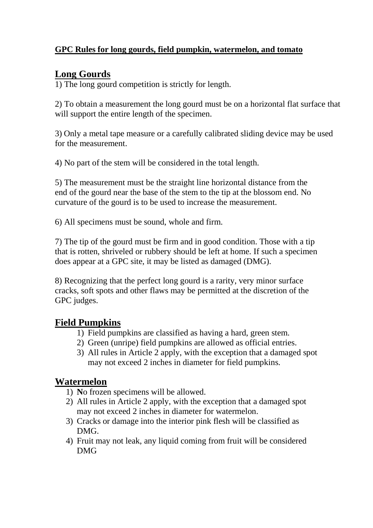#### **GPC Rules for long gourds, field pumpkin, watermelon, and tomato**

# **Long Gourds**

1) The long gourd competition is strictly for length.

2) To obtain a measurement the long gourd must be on a horizontal flat surface that will support the entire length of the specimen.

3) Only a metal tape measure or a carefully calibrated sliding device may be used for the measurement.

4) No part of the stem will be considered in the total length.

5) The measurement must be the straight line horizontal distance from the end of the gourd near the base of the stem to the tip at the blossom end. No curvature of the gourd is to be used to increase the measurement.

6) All specimens must be sound, whole and firm.

7) The tip of the gourd must be firm and in good condition. Those with a tip that is rotten, shriveled or rubbery should be left at home. If such a specimen does appear at a GPC site, it may be listed as damaged (DMG).

8) Recognizing that the perfect long gourd is a rarity, very minor surface cracks, soft spots and other flaws may be permitted at the discretion of the GPC judges.

## **Field Pumpkins**

- 1) Field pumpkins are classified as having a hard, green stem.
- 2) Green (unripe) field pumpkins are allowed as official entries.
- 3) All rules in Article 2 apply, with the exception that a damaged spot may not exceed 2 inches in diameter for field pumpkins.

#### **Watermelon**

- 1) **N**o frozen specimens will be allowed.
- 2) All rules in Article 2 apply, with the exception that a damaged spot may not exceed 2 inches in diameter for watermelon.
- 3) Cracks or damage into the interior pink flesh will be classified as DMG.
- 4) Fruit may not leak, any liquid coming from fruit will be considered DMG